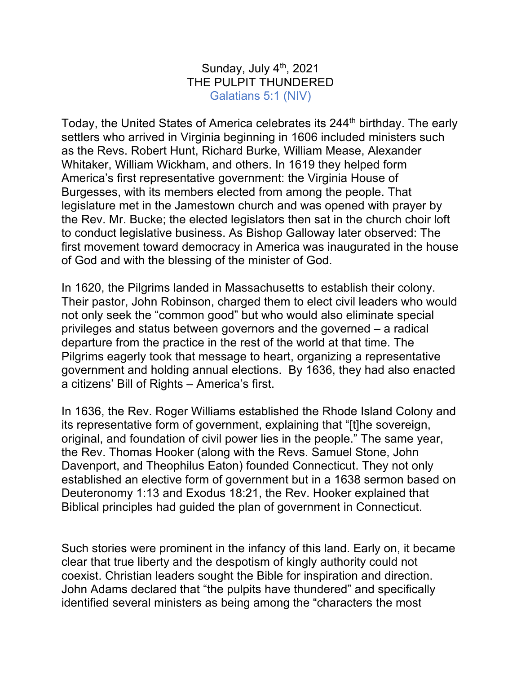## Sunday, July  $4<sup>th</sup>$ , 2021 THE PULPIT THUNDERED Galatians 5:1 (NIV)

Today, the United States of America celebrates its 244<sup>th</sup> birthday. The early settlers who arrived in Virginia beginning in 1606 included ministers such as the Revs. Robert Hunt, Richard Burke, William Mease, Alexander Whitaker, William Wickham, and others. In 1619 they helped form America's first representative government: the Virginia House of Burgesses, with its members elected from among the people. That legislature met in the Jamestown church and was opened with prayer by the Rev. Mr. Bucke; the elected legislators then sat in the church choir loft to conduct legislative business. As Bishop Galloway later observed: The first movement toward democracy in America was inaugurated in the house of God and with the blessing of the minister of God.

In 1620, the Pilgrims landed in Massachusetts to establish their colony. Their pastor, John Robinson, charged them to elect civil leaders who would not only seek the "common good" but who would also eliminate special privileges and status between governors and the governed – a radical departure from the practice in the rest of the world at that time. The Pilgrims eagerly took that message to heart, organizing a representative government and holding annual elections. By 1636, they had also enacted a citizens' Bill of Rights – America's first.

In 1636, the Rev. Roger Williams established the Rhode Island Colony and its representative form of government, explaining that "[t]he sovereign, original, and foundation of civil power lies in the people." The same year, the Rev. Thomas Hooker (along with the Revs. Samuel Stone, John Davenport, and Theophilus Eaton) founded Connecticut. They not only established an elective form of government but in a 1638 sermon based on Deuteronomy 1:13 and Exodus 18:21, the Rev. Hooker explained that Biblical principles had guided the plan of government in Connecticut.

Such stories were prominent in the infancy of this land. Early on, it became clear that true liberty and the despotism of kingly authority could not coexist. Christian leaders sought the Bible for inspiration and direction. John Adams declared that "the pulpits have thundered" and specifically identified several ministers as being among the "characters the most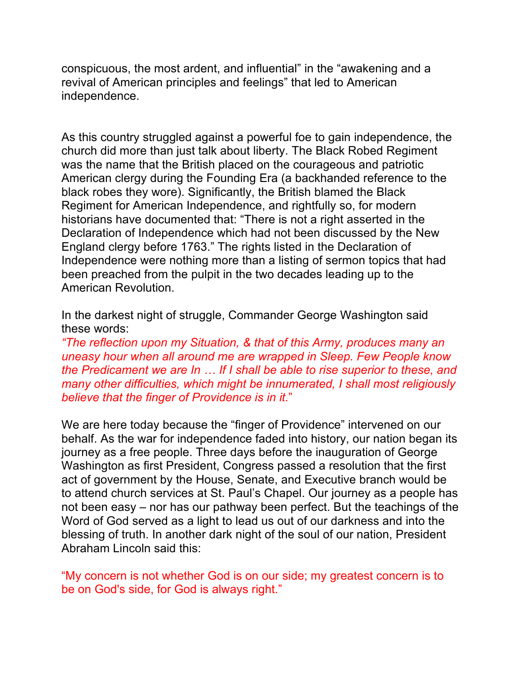conspicuous, the most ardent, and influential" in the "awakening and a revival of American principles and feelings" that led to American independence.

As this country struggled against a powerful foe to gain independence, the church did more than just talk about liberty. The Black Robed Regiment was the name that the British placed on the courageous and patriotic American clergy during the Founding Era (a backhanded reference to the black robes they wore). Significantly, the British blamed the Black Regiment for American Independence, and rightfully so, for modern historians have documented that: "There is not a right asserted in the Declaration of Independence which had not been discussed by the New England clergy before 1763." The rights listed in the Declaration of Independence were nothing more than a listing of sermon topics that had been preached from the pulpit in the two decades leading up to the American Revolution.

In the darkest night of struggle, Commander George Washington said these words:

*"The reflection upon my Situation, & that of this Army, produces many an uneasy hour when all around me are wrapped in Sleep. Few People know the Predicament we are In … If I shall be able to rise superior to these, and many other difficulties, which might be innumerated, I shall most religiously believe that the finger of Providence is in it.*"

We are here today because the "finger of Providence" intervened on our behalf. As the war for independence faded into history, our nation began its journey as a free people. Three days before the inauguration of George Washington as first President, Congress passed a resolution that the first act of government by the House, Senate, and Executive branch would be to attend church services at St. Paul's Chapel. Our journey as a people has not been easy – nor has our pathway been perfect. But the teachings of the Word of God served as a light to lead us out of our darkness and into the blessing of truth. In another dark night of the soul of our nation, President Abraham Lincoln said this:

"My concern is not whether God is on our side; my greatest concern is to be on God's side, for God is always right."